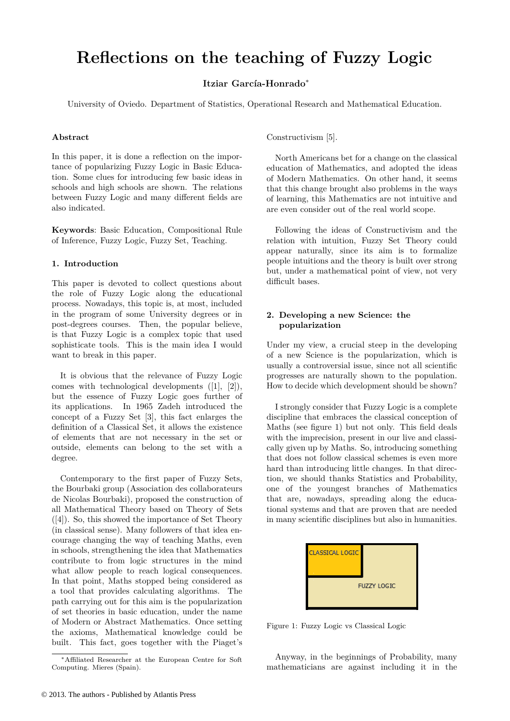# **Reflections on the teaching of Fuzzy Logic**

**Itziar García-Honrado**<sup>∗</sup>

University of Oviedo. Department of Statistics, Operational Research and Mathematical Education.

# **Abstract**

In this paper, it is done a reflection on the importance of popularizing Fuzzy Logic in Basic Education. Some clues for introducing few basic ideas in schools and high schools are shown. The relations between Fuzzy Logic and many different fields are also indicated.

**Keywords**: Basic Education, Compositional Rule of Inference, Fuzzy Logic, Fuzzy Set, Teaching.

# **1. Introduction**

This paper is devoted to collect questions about the role of Fuzzy Logic along the educational process. Nowadays, this topic is, at most, included in the program of some University degrees or in post-degrees courses. Then, the popular believe, is that Fuzzy Logic is a complex topic that used sophisticate tools. This is the main idea I would want to break in this paper.

It is obvious that the relevance of Fuzzy Logic comes with technological developments ([1], [2]), but the essence of Fuzzy Logic goes further of its applications. In 1965 Zadeh introduced the concept of a Fuzzy Set [3], this fact enlarges the definition of a Classical Set, it allows the existence of elements that are not necessary in the set or outside, elements can belong to the set with a degree.

Contemporary to the first paper of Fuzzy Sets, the Bourbaki group (Association des collaborateurs de Nicolas Bourbaki), proposed the construction of all Mathematical Theory based on Theory of Sets ([4]). So, this showed the importance of Set Theory (in classical sense). Many followers of that idea encourage changing the way of teaching Maths, even in schools, strengthening the idea that Mathematics contribute to from logic structures in the mind what allow people to reach logical consequences. In that point, Maths stopped being considered as a tool that provides calculating algorithms. The path carrying out for this aim is the popularization of set theories in basic education, under the name of Modern or Abstract Mathematics. Once setting the axioms, Mathematical knowledge could be built. This fact, goes together with the Piaget's Constructivism [5].

North Americans bet for a change on the classical education of Mathematics, and adopted the ideas of Modern Mathematics. On other hand, it seems that this change brought also problems in the ways of learning, this Mathematics are not intuitive and are even consider out of the real world scope.

Following the ideas of Constructivism and the relation with intuition, Fuzzy Set Theory could appear naturally, since its aim is to formalize people intuitions and the theory is built over strong but, under a mathematical point of view, not very difficult bases.

# **2. Developing a new Science: the popularization**

Under my view, a crucial steep in the developing of a new Science is the popularization, which is usually a controversial issue, since not all scientific progresses are naturally shown to the population. How to decide which development should be shown?

I strongly consider that Fuzzy Logic is a complete discipline that embraces the classical conception of Maths (see figure 1) but not only. This field deals with the imprecision, present in our live and classically given up by Maths. So, introducing something that does not follow classical schemes is even more hard than introducing little changes. In that direction, we should thanks Statistics and Probability, one of the youngest branches of Mathematics that are, nowadays, spreading along the educational systems and that are proven that are needed in many scientific disciplines but also in humanities.



Figure 1: Fuzzy Logic vs Classical Logic

Anyway, in the beginnings of Probability, many mathematicians are against including it in the

<sup>∗</sup>Affiliated Researcher at the European Centre for Soft Computing. Mieres (Spain).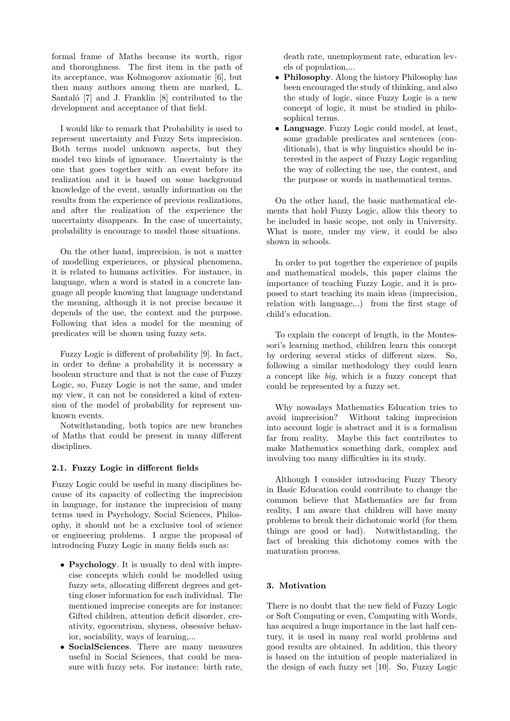formal frame of Maths because its worth, rigor and thoroughness. The first item in the path of its acceptance, was Kolmogorov axiomatic [6], but then many authors among them are marked, L. Santaló [7] and J. Franklin [8] contributed to the development and acceptance of that field.

I would like to remark that Probability is used to represent uncertainty and Fuzzy Sets imprecision. Both terms model unknown aspects, but they model two kinds of ignorance. Uncertainty is the one that goes together with an event before its realization and it is based on some background knowledge of the event, usually information on the results from the experience of previous realizations, and after the realization of the experience the uncertainty disappears. In the case of uncertainty, probability is encourage to model those situations.

On the other hand, imprecision, is not a matter of modelling experiences, or physical phenomena, it is related to humans activities. For instance, in language, when a word is stated in a concrete language all people knowing that language understand the meaning, although it is not precise because it depends of the use, the context and the purpose. Following that idea a model for the meaning of predicates will be shown using fuzzy sets.

Fuzzy Logic is different of probability [9]. In fact, in order to define a probability it is necessary a boolean structure and that is not the case of Fuzzy Logic, so, Fuzzy Logic is not the same, and under my view, it can not be considered a kind of extension of the model of probability for represent unknown events.

Notwithstanding, both topics are new branches of Maths that could be present in many different disciplines.

## **2.1. Fuzzy Logic in different fields**

Fuzzy Logic could be useful in many disciplines because of its capacity of collecting the imprecision in language, for instance the imprecision of many terms used in Psychology, Social Sciences, Philosophy, it should not be a exclusive tool of science or engineering problems. I argue the proposal of introducing Fuzzy Logic in many fields such as:

- **Psychology***.* It is usually to deal with imprecise concepts which could be modelled using fuzzy sets, allocating different degrees and getting closer information for each individual. The mentioned imprecise concepts are for instance: Gifted children, attention deficit disorder, creativity, egocentrism, shyness, obsessive behavior, sociability, ways of learning,...
- **SocialSciences***.* There are many measures useful in Social Sciences, that could be measure with fuzzy sets. For instance: birth rate,

death rate, unemployment rate, education levels of population,...

- **Philosophy***.* Along the history Philosophy has been encouraged the study of thinking, and also the study of logic, since Fuzzy Logic is a new concept of logic, it must be studied in philosophical terms.
- **Language***.* Fuzzy Logic could model, at least, some gradable predicates and sentences (conditionals), that is why linguistics should be interested in the aspect of Fuzzy Logic regarding the way of collecting the use, the contest, and the purpose or words in mathematical terms.

On the other hand, the basic mathematical elements that hold Fuzzy Logic, allow this theory to be included in basic scope, not only in University. What is more, under my view, it could be also shown in schools.

In order to put together the experience of pupils and mathematical models, this paper claims the importance of teaching Fuzzy Logic, and it is proposed to start teaching its main ideas (imprecision, relation with language,..) from the first stage of child's education.

To explain the concept of length, in the Montessori's learning method, children learn this concept by ordering several sticks of different sizes. So, following a similar methodology they could learn a concept like *big*, which is a fuzzy concept that could be represented by a fuzzy set.

Why nowadays Mathematics Education tries to avoid imprecision? Without taking imprecision into account logic is abstract and it is a formalism far from reality. Maybe this fact contributes to make Mathematics something dark, complex and involving too many difficulties in its study.

Although I consider introducing Fuzzy Theory in Basic Education could contribute to change the common believe that Mathematics are far from reality, I am aware that children will have many problems to break their dichotomic world (for them things are good or bad). Notwithstanding, the fact of breaking this dichotomy comes with the maturation process.

## **3. Motivation**

There is no doubt that the new field of Fuzzy Logic or Soft Computing or even, Computing with Words, has acquired a huge importance in the last half century, it is used in many real world problems and good results are obtained. In addition, this theory is based on the intuition of people materialized in the design of each fuzzy set [10]. So, Fuzzy Logic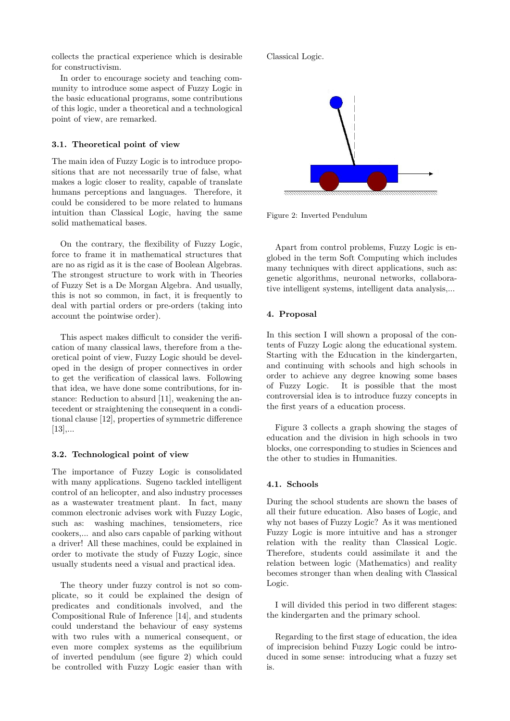collects the practical experience which is desirable for constructivism.

In order to encourage society and teaching community to introduce some aspect of Fuzzy Logic in the basic educational programs, some contributions of this logic, under a theoretical and a technological point of view, are remarked.

# **3.1. Theoretical point of view**

The main idea of Fuzzy Logic is to introduce propositions that are not necessarily true of false, what makes a logic closer to reality, capable of translate humans perceptions and languages. Therefore, it could be considered to be more related to humans intuition than Classical Logic, having the same solid mathematical bases.

On the contrary, the flexibility of Fuzzy Logic, force to frame it in mathematical structures that are no as rigid as it is the case of Boolean Algebras. The strongest structure to work with in Theories of Fuzzy Set is a De Morgan Algebra. And usually, this is not so common, in fact, it is frequently to deal with partial orders or pre-orders (taking into account the pointwise order).

This aspect makes difficult to consider the verification of many classical laws, therefore from a theoretical point of view, Fuzzy Logic should be developed in the design of proper connectives in order to get the verification of classical laws. Following that idea, we have done some contributions, for instance: Reduction to absurd [11], weakening the antecedent or straightening the consequent in a conditional clause [12], properties of symmetric difference  $[13]$ ,...

# **3.2. Technological point of view**

The importance of Fuzzy Logic is consolidated with many applications. Sugeno tackled intelligent control of an helicopter, and also industry processes as a wastewater treatment plant. In fact, many common electronic advises work with Fuzzy Logic, such as: washing machines, tensiometers, rice cookers,... and also cars capable of parking without a driver! All these machines, could be explained in order to motivate the study of Fuzzy Logic, since usually students need a visual and practical idea.

The theory under fuzzy control is not so complicate, so it could be explained the design of predicates and conditionals involved, and the Compositional Rule of Inference [14], and students could understand the behaviour of easy systems with two rules with a numerical consequent, or even more complex systems as the equilibrium of inverted pendulum (see figure 2) which could be controlled with Fuzzy Logic easier than with

Classical Logic.



Figure 2: Inverted Pendulum

Apart from control problems, Fuzzy Logic is englobed in the term Soft Computing which includes many techniques with direct applications, such as: genetic algorithms, neuronal networks, collaborative intelligent systems, intelligent data analysis,...

## **4. Proposal**

In this section I will shown a proposal of the contents of Fuzzy Logic along the educational system. Starting with the Education in the kindergarten, and continuing with schools and high schools in order to achieve any degree knowing some bases of Fuzzy Logic. It is possible that the most controversial idea is to introduce fuzzy concepts in the first years of a education process.

Figure 3 collects a graph showing the stages of education and the division in high schools in two blocks, one corresponding to studies in Sciences and the other to studies in Humanities.

## **4.1. Schools**

During the school students are shown the bases of all their future education. Also bases of Logic, and why not bases of Fuzzy Logic? As it was mentioned Fuzzy Logic is more intuitive and has a stronger relation with the reality than Classical Logic. Therefore, students could assimilate it and the relation between logic (Mathematics) and reality becomes stronger than when dealing with Classical Logic.

I will divided this period in two different stages: the kindergarten and the primary school.

Regarding to the first stage of education, the idea of imprecision behind Fuzzy Logic could be introduced in some sense: introducing what a fuzzy set is.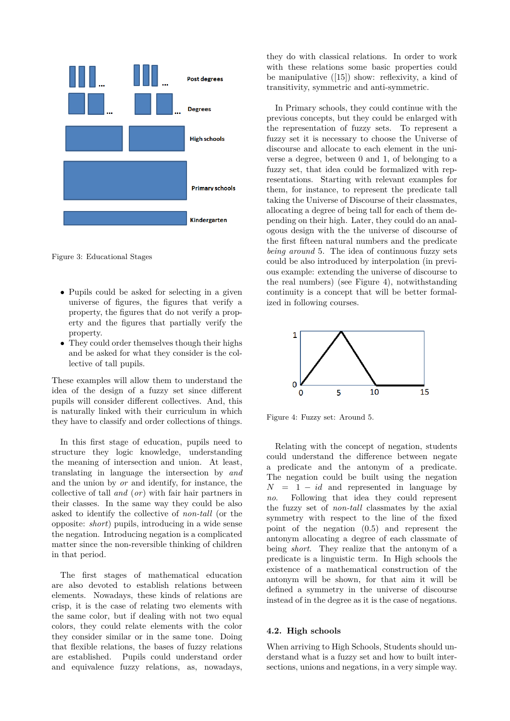

Figure 3: Educational Stages

- Pupils could be asked for selecting in a given universe of figures, the figures that verify a property, the figures that do not verify a property and the figures that partially verify the property.
- They could order themselves though their highs and be asked for what they consider is the collective of tall pupils.

These examples will allow them to understand the idea of the design of a fuzzy set since different pupils will consider different collectives. And, this is naturally linked with their curriculum in which they have to classify and order collections of things.

In this first stage of education, pupils need to structure they logic knowledge, understanding the meaning of intersection and union. At least, translating in language the intersection by *and* and the union by *or* and identify, for instance, the collective of tall *and* (*or*) with fair hair partners in their classes. In the same way they could be also asked to identify the collective of *non-tall* (or the opposite: *short*) pupils, introducing in a wide sense the negation. Introducing negation is a complicated matter since the non-reversible thinking of children in that period.

The first stages of mathematical education are also devoted to establish relations between elements. Nowadays, these kinds of relations are crisp, it is the case of relating two elements with the same color, but if dealing with not two equal colors, they could relate elements with the color they consider similar or in the same tone. Doing that flexible relations, the bases of fuzzy relations are established. Pupils could understand order and equivalence fuzzy relations, as, nowadays,

they do with classical relations. In order to work with these relations some basic properties could be manipulative ([15]) show: reflexivity, a kind of transitivity, symmetric and anti-symmetric.

In Primary schools, they could continue with the previous concepts, but they could be enlarged with the representation of fuzzy sets. To represent a fuzzy set it is necessary to choose the Universe of discourse and allocate to each element in the universe a degree, between 0 and 1, of belonging to a fuzzy set, that idea could be formalized with representations. Starting with relevant examples for them, for instance, to represent the predicate tall taking the Universe of Discourse of their classmates, allocating a degree of being tall for each of them depending on their high. Later, they could do an analogous design with the the universe of discourse of the first fifteen natural numbers and the predicate *being around* 5. The idea of continuous fuzzy sets could be also introduced by interpolation (in previous example: extending the universe of discourse to the real numbers) (see Figure 4), notwithstanding continuity is a concept that will be better formalized in following courses.



Figure 4: Fuzzy set: Around 5.

Relating with the concept of negation, students could understand the difference between negate a predicate and the antonym of a predicate. The negation could be built using the negation  $N = 1 - id$  and represented in language by *no*. Following that idea they could represent the fuzzy set of *non-tall* classmates by the axial symmetry with respect to the line of the fixed point of the negation (0*.*5) and represent the antonym allocating a degree of each classmate of being *short*. They realize that the antonym of a predicate is a linguistic term. In High schools the existence of a mathematical construction of the antonym will be shown, for that aim it will be defined a symmetry in the universe of discourse instead of in the degree as it is the case of negations.

#### **4.2. High schools**

When arriving to High Schools, Students should understand what is a fuzzy set and how to built intersections, unions and negations, in a very simple way.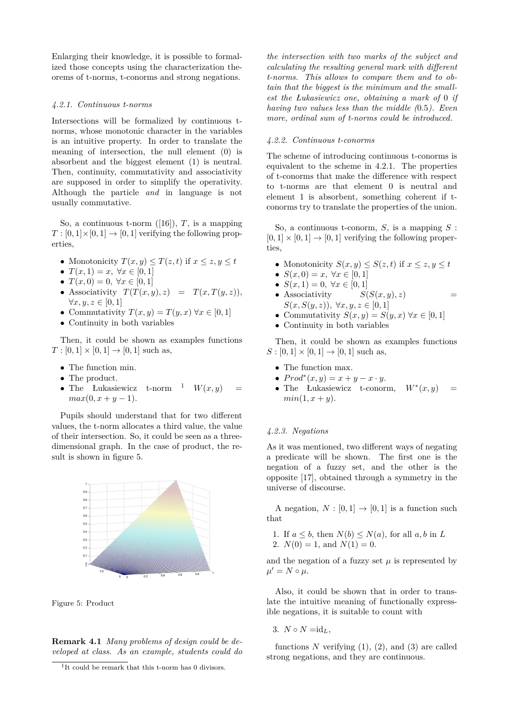Enlarging their knowledge, it is possible to formalized those concepts using the characterization theorems of t-norms, t-conorms and strong negations.

#### *4.2.1. Continuous t-norms*

Intersections will be formalized by continuous tnorms, whose monotonic character in the variables is an intuitive property. In order to translate the meaning of intersection, the null element (0) is absorbent and the biggest element (1) is neutral. Then, continuity, commutativity and associativity are supposed in order to simplify the operativity. Although the particle *and* in language is not usually commutative.

So, a continuous t-norm  $([16])$ , *T*, is a mapping  $T : [0,1] \times [0,1] \rightarrow [0,1]$  verifying the following properties,

- Monotonicity  $T(x, y) \leq T(z, t)$  if  $x \leq z, y \leq t$
- $T(x, 1) = x, \forall x \in [0, 1]$
- $T(x, 0) = 0, \forall x \in [0, 1]$
- Associativity  $T(T(x, y), z) = T(x, T(y, z)),$  $\forall x, y, z \in [0, 1]$
- Commutativity  $T(x, y) = T(y, x) \forall x \in [0, 1]$
- Continuity in both variables

Then, it could be shown as examples functions  $T : [0, 1] \times [0, 1] \to [0, 1]$  such as,

- The function min.
- The product.
- The Łukasiewicz t-norm <sup>1</sup>  $W(x, y)$  $max(0, x + y - 1).$

Pupils should understand that for two different values, the t-norm allocates a third value, the value of their intersection. So, it could be seen as a threedimensional graph. In the case of product, the result is shown in figure 5.



Figure 5: Product

**Remark 4.1** *Many problems of design could be developed at class. As an example, students could do* *the intersection with two marks of the subject and calculating the resulting general mark with different t-norms. This allows to compare them and to obtain that the biggest is the minimum and the smallest the Łukasiewicz one, obtaining a mark of* 0 *if having two values less than the middle (*0*.*5*). Even more, ordinal sum of t-norms could be introduced.*

#### *4.2.2. Continuous t-conorms*

The scheme of introducing continuous t-conorms is equivalent to the scheme in 4.2.1. The properties of t-conorms that make the difference with respect to t-norms are that element 0 is neutral and element 1 is absorbent, something coherent if tconorms try to translate the properties of the union.

So, a continuous t-conorm, *S*, is a mapping *S* :  $[0,1] \times [0,1] \rightarrow [0,1]$  verifying the following properties,

- Monotonicity  $S(x, y) \leq S(z, t)$  if  $x \leq z, y \leq t$
- $S(x, 0) = x, \forall x \in [0, 1]$
- $S(x, 1) = 0, \forall x \in [0, 1]$
- Associativity  $S(S(x, y), z)$  = *S*(*x, S*(*y, z*))*,* ∀*x, y, z* ∈ [0*,* 1]
- Commutativity  $S(x, y) = S(y, x)$   $\forall x \in [0, 1]$
- Continuity in both variables

Then, it could be shown as examples functions  $S : [0,1] \times [0,1] \to [0,1]$  such as,

- The function max.
- $Prod^*(x, y) = x + y x \cdot y$ .
- The Łukasiewicz t-conorm,  $W^*(x, y)$  $min(1, x + y)$ .

## *4.2.3. Negations*

As it was mentioned, two different ways of negating a predicate will be shown. The first one is the negation of a fuzzy set, and the other is the opposite [17], obtained through a symmetry in the universe of discourse.

A negation,  $N : [0,1] \rightarrow [0,1]$  is a function such that

- 1. If  $a \leq b$ , then  $N(b) \leq N(a)$ , for all  $a, b$  in  $L$
- 2.  $N(0) = 1$ , and  $N(1) = 0$ .

and the negation of a fuzzy set  $\mu$  is represented by  $\mu' = N \circ \mu$ .

Also, it could be shown that in order to translate the intuitive meaning of functionally expressible negations, it is suitable to count with

3.  $N \circ N = id_L$ 

functions  $N$  verifying  $(1)$ ,  $(2)$ , and  $(3)$  are called strong negations, and they are continuous.

<sup>1</sup> It could be remark that this t-norm has 0 divisors.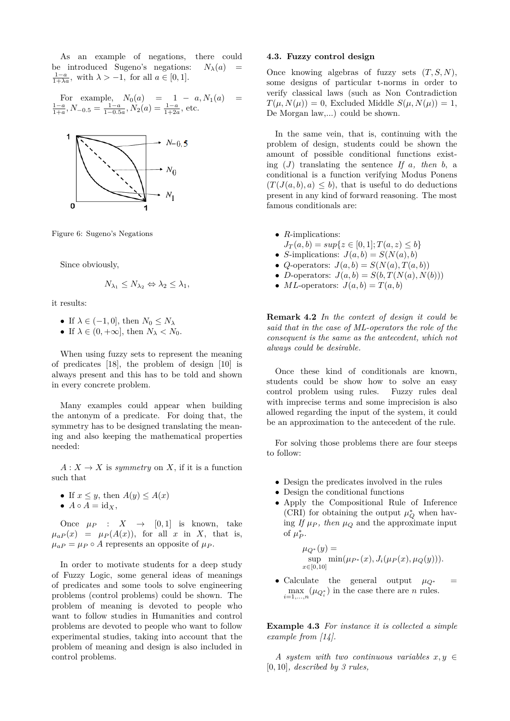As an example of negations, there could be introduced Sugeno's negations:  $N_{\lambda}(a)$  $\frac{1-a}{1+\lambda a}$ , with  $\lambda > -1$ , for all  $a \in [0,1]$ *.* 

For example,  $N_0(a) = 1 - a, N_1(a) =$  $\frac{1-a}{1+a}$ ,  $N_{-0.5} = \frac{1-a}{1-0.5a}$ ,  $N_2(a) = \frac{1-a}{1+2a}$ , etc.



Figure 6: Sugeno's Negations

Since obviously,

$$
N_{\lambda_1} \leq N_{\lambda_2} \Leftrightarrow \lambda_2 \leq \lambda_1,
$$

it results:

- If  $\lambda \in (-1, 0]$ , then  $N_0 \leq N_\lambda$
- If  $\lambda \in (0, +\infty]$ , then  $N_{\lambda} < N_0$ .

When using fuzzy sets to represent the meaning of predicates [18], the problem of design [10] is always present and this has to be told and shown in every concrete problem.

Many examples could appear when building the antonym of a predicate. For doing that, the symmetry has to be designed translating the meaning and also keeping the mathematical properties needed:

 $A: X \to X$  is *symmetry* on X, if it is a function such that

- If  $x \leq y$ , then  $A(y) \leq A(x)$
- $A \circ A = id_X$ ,

Once  $\mu_P$  :  $X \rightarrow [0,1]$  is known, take  $\mu_{aP}(x) = \mu_{P}(A(x))$ , for all *x* in *X*, that is,  $\mu_{a}P = \mu_{P} \circ A$  represents an opposite of  $\mu_{P}$ .

In order to motivate students for a deep study of Fuzzy Logic, some general ideas of meanings of predicates and some tools to solve engineering problems (control problems) could be shown. The problem of meaning is devoted to people who want to follow studies in Humanities and control problems are devoted to people who want to follow experimental studies, taking into account that the problem of meaning and design is also included in control problems.

#### **4.3. Fuzzy control design**

Once knowing algebras of fuzzy sets (*T, S, N*), some designs of particular t-norms in order to verify classical laws (such as Non Contradiction  $T(\mu, N(\mu)) = 0$ , Excluded Middle  $S(\mu, N(\mu)) = 1$ , De Morgan law,...) could be shown.

In the same vein, that is, continuing with the problem of design, students could be shown the amount of possible conditional functions existing  $(J)$  translating the sentence  $If$   $a$ *, then*  $b$ , a conditional is a function verifying Modus Ponens  $(T(J(a, b), a) \leq b)$ , that is useful to do deductions present in any kind of forward reasoning. The most famous conditionals are:

- *R*-implications:
- $J_T(a, b) = \sup\{z \in [0, 1]; T(a, z) \leq b\}$
- *S*-implications:  $J(a, b) = S(N(a), b)$
- *Q*-operators:  $J(a, b) = S(N(a), T(a, b))$
- *D*-operators:  $J(a, b) = S(b, T(N(a), N(b)))$
- *ML*-operators:  $J(a, b) = T(a, b)$

**Remark 4.2** *In the context of design it could be said that in the case of ML-operators the role of the consequent is the same as the antecedent, which not always could be desirable.*

Once these kind of conditionals are known, students could be show how to solve an easy control problem using rules. Fuzzy rules deal with imprecise terms and some imprecision is also allowed regarding the input of the system, it could be an approximation to the antecedent of the rule.

For solving those problems there are four steeps to follow:

- Design the predicates involved in the rules
- Design the conditional functions
- Apply the Compositional Rule of Inference (CRI) for obtaining the output  $\mu_Q^*$  when having If  $\mu_P$ , then  $\mu_Q$  and the approximate input of  $\mu_P^*$ .

$$
\mu_{Q^*}(y) = \sup_{x \in [0,10]} \min(\mu_{P^*}(x), J_i(\mu_P(x), \mu_Q(y))).
$$

• Calculate the general output  $\mu_{Q^*}$  =  $\max_{i=1,\dots,n} (\mu_{Q_i^*})$  in the case there are *n* rules.

**Example 4.3** *For instance it is collected a simple example from [14].*

*A* system with two continuous variables  $x, y \in$ [0*,* 10]*, described by 3 rules,*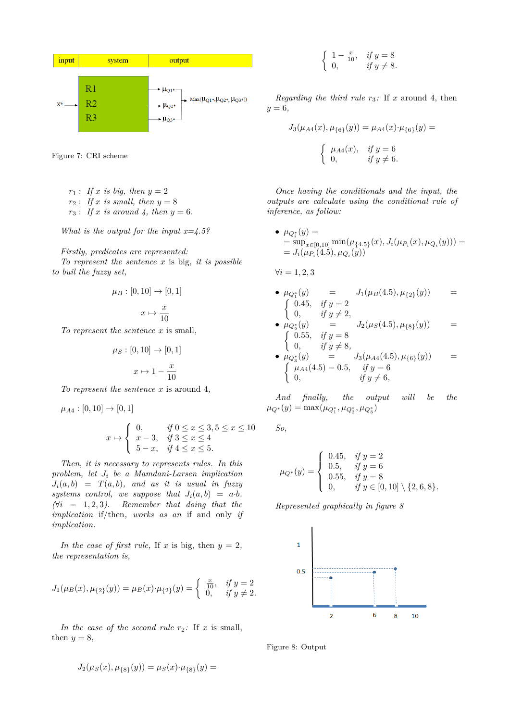

Figure 7: CRI scheme

- $r_1$ : *If x is big, then*  $y = 2$  $r_2$ : *If x is small, then*  $y = 8$
- *r*<sub>3</sub> : *If x is around* 4, *then*  $y = 6$ *.*

*What is the output for the input x=4.5?*

*Firstly, predicates are represented: To represent the sentence x* is big*, it is possible to buil the fuzzy set,*

$$
\mu_B: [0,10] \to [0,1]
$$
  

$$
x \mapsto \frac{x}{10}
$$

*To represent the sentence x* is small*,*

$$
\mu_S : [0, 10] \to [0, 1]
$$

$$
x \mapsto 1 - \frac{x}{10}
$$

*To represent the sentence x* is around 4*,*

 $\mathcal{L}$ 

$$
\mu_{A4} : [0, 10] \to [0, 1]
$$
  

$$
x \mapsto \begin{cases} 0, & \text{if } 0 \le x \le 3, 5 \le x \\ x - 3, & \text{if } 3 \le x \le 4 \end{cases}
$$

 $5 - x$ , *if*  $4 \le x \le 5$ *.* 

*Then, it is necessary to represents rules. In this problem, let J<sup>i</sup> be a Mamdani-Larsen implication*  $J_i(a, b) = T(a, b)$ *, and as it is usual in fuzzy* systems control, we suppose that  $J_i(a, b) = a \cdot b$ .  $(\forall i = 1, 2, 3)$ . Remember that doing that the *implication* if/then*, works as an* if and only *if implication.*

*In the case of first rule,* If *x* is big, then  $y = 2$ , *the representation is,*

$$
J_1(\mu_B(x), \mu_{\{2\}}(y)) = \mu_B(x) \cdot \mu_{\{2\}}(y) = \begin{cases} \frac{x}{10}, & \text{if } y = 2 \\ 0, & \text{if } y \neq 2. \end{cases}
$$

*In the case of the second rule*  $r_2$ *:* If *x* is small, then  $y = 8$ ,

$$
J_2(\mu_S(x), \mu_{S_1}(y)) = \mu_S(x) \cdot \mu_{S_1}(y) =
$$

$$
\begin{cases}\n1 - \frac{x}{10}, & \text{if } y = 8 \\
0, & \text{if } y \neq 8.\n\end{cases}
$$

*Regarding the third rule*  $r_3$ : If  $x$  around 4, then *y* = 6*,*

$$
J_3(\mu_{A4}(x), \mu_{6}(y)) = \mu_{A4}(x) \cdot \mu_{6}(y) =
$$
  

$$
\begin{cases} \mu_{A4}(x), & \text{if } y = 6\\ 0, & \text{if } y \neq 6. \end{cases}
$$

*Once having the conditionals and the input, the outputs are calculate using the conditional rule of inference, as follow:*

•  $\mu_{Q_i^*}(y) =$  $\lim_{x \to a} \sum_{i=1}^{n}$   $\lim_{n \to \infty} \left( \mu_{\{4.5\}}(x), J_i(\mu_{P_i}(x), \mu_{Q_i}(y)) \right) =$  $= J_i(\mu_{P_i}(4.5), \mu_{Q_i}(y))$ 

 $\forall i = 1, 2, 3$ 

• 
$$
\mu_{Q_1^*}(y)
$$
 =  $J_1(\mu_B(4.5), \mu_{\{2\}}(y))$  =  
\n
$$
\begin{cases}\n0.45, & \text{if } y = 2 \\
0, & \text{if } y \neq 2,\n\end{cases}
$$

• 
$$
\mu_{Q_2^*}(y)
$$
 =  $J_2(\mu_S(4.5), \mu_{\{8\}}(y))$  =  
\n
$$
\begin{cases}\n0.55, & if y = 8 \\
0, & if y \neq 8,\n\end{cases}
$$

• 
$$
\mu_{Q_3^*}(y)
$$
 =  $J_3(\mu_{A4}(4.5), \mu_{\{6\}}(y))$  =  
\n
$$
\begin{cases}\n\mu_{A4}(4.5) = 0.5, & if y = 6 \\
0, & if y \neq 6,\n\end{cases}
$$

*And finally, the output will be the*  $\mu_{Q^*}(y) = \max(\mu_{Q_1^*}, \mu_{Q_2^*}, \mu_{Q_3^*})$ 

*So,*

 $< 10$ 

$$
\mu_{Q^*}(y) = \begin{cases} 0.45, & \text{if } y = 2 \\ 0.5, & \text{if } y = 6 \\ 0.55, & \text{if } y = 8 \\ 0, & \text{if } y \in [0, 10] \setminus \{2, 6, 8\}. \end{cases}
$$

*Represented graphically in figure 8*



Figure 8: Output